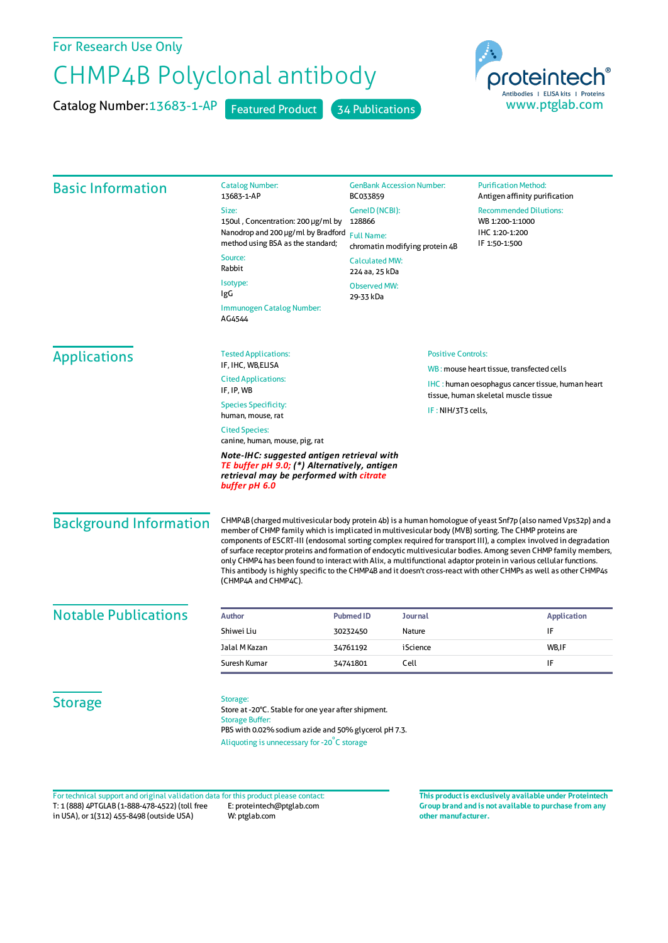## For Research Use Only

## CHMP4B Polyclonal antibody

Catalog Number: 13683-1-AP Featured Product 34 Publications



| <b>Basic Information</b>      | <b>Catalog Number:</b><br>13683-1-AP<br>Size:<br>150ul, Concentration: 200 µg/ml by<br>Nanodrop and 200 µg/ml by Bradford<br>method using BSA as the standard;<br>Source:<br>Rabbit<br>Isotype:<br>IgG<br>Immunogen Catalog Number:<br>AG4544                                                                                                                                                                                                                                                                                                                                                                                                                                                                                     | <b>GenBank Accession Number:</b><br>BC033859<br>GeneID (NCBI):<br>128866<br><b>Full Name:</b><br>chromatin modifying protein 4B<br><b>Calculated MW:</b><br>224 aa, 25 kDa<br><b>Observed MW:</b><br>29-33 kDa |                                                 | <b>Purification Method:</b><br>Antigen affinity purification<br><b>Recommended Dilutions:</b><br>WB 1:200-1:1000<br>IHC 1:20-1:200<br>IF 1:50-1:500 |
|-------------------------------|-----------------------------------------------------------------------------------------------------------------------------------------------------------------------------------------------------------------------------------------------------------------------------------------------------------------------------------------------------------------------------------------------------------------------------------------------------------------------------------------------------------------------------------------------------------------------------------------------------------------------------------------------------------------------------------------------------------------------------------|----------------------------------------------------------------------------------------------------------------------------------------------------------------------------------------------------------------|-------------------------------------------------|-----------------------------------------------------------------------------------------------------------------------------------------------------|
| <b>Applications</b>           | <b>Tested Applications:</b><br>IF, IHC, WB, ELISA<br><b>Cited Applications:</b><br>IF, IP, WB<br><b>Species Specificity:</b><br>human, mouse, rat<br><b>Cited Species:</b><br>canine, human, mouse, pig, rat<br>Note-IHC: suggested antigen retrieval with<br>TE buffer pH 9.0; (*) Alternatively, antigen<br>retrieval may be performed with citrate<br>buffer pH 6.0                                                                                                                                                                                                                                                                                                                                                            |                                                                                                                                                                                                                | <b>Positive Controls:</b><br>IF: NIH/3T3 cells, | WB: mouse heart tissue, transfected cells<br><b>IHC</b> : human oesophagus cancer tissue, human heart<br>tissue, human skeletal muscle tissue       |
| <b>Background Information</b> | CHMP4B (charged multivesicular body protein 4b) is a human homologue of yeast Snf7p (also named Vps32p) and a<br>member of CHMP family which is implicated in multivesicular body (MVB) sorting. The CHMP proteins are<br>components of ESCRT-III (endosomal sorting complex required for transport III), a complex involved in degradation<br>of surface receptor proteins and formation of endocytic multivesicular bodies. Among seven CHMP family members,<br>only CHMP4 has been found to interact with Alix, a multifunctional adaptor protein in various cellular functions.<br>This antibody is highly specific to the CHMP4B and it doesn't cross-react with other CHMPs as well as other CHMP4s<br>(CHMP4A and CHMP4C). |                                                                                                                                                                                                                |                                                 |                                                                                                                                                     |
| <b>Notable Publications</b>   | <b>Author</b>                                                                                                                                                                                                                                                                                                                                                                                                                                                                                                                                                                                                                                                                                                                     | <b>Pubmed ID</b>                                                                                                                                                                                               | <b>Journal</b>                                  | <b>Application</b>                                                                                                                                  |
|                               | Shiwei Liu                                                                                                                                                                                                                                                                                                                                                                                                                                                                                                                                                                                                                                                                                                                        | 30232450                                                                                                                                                                                                       | Nature                                          | IF                                                                                                                                                  |
|                               | Jalal M Kazan                                                                                                                                                                                                                                                                                                                                                                                                                                                                                                                                                                                                                                                                                                                     | 34761192                                                                                                                                                                                                       | iScience                                        | WB,IF                                                                                                                                               |
|                               | Suresh Kumar                                                                                                                                                                                                                                                                                                                                                                                                                                                                                                                                                                                                                                                                                                                      | Cell<br>34741801                                                                                                                                                                                               |                                                 | IF                                                                                                                                                  |
| <b>Storage</b>                | Storage:<br>Store at -20°C. Stable for one year after shipment.<br><b>Storage Buffer:</b><br>PBS with 0.02% sodium azide and 50% glycerol pH 7.3.<br>Aliquoting is unnecessary for -20°C storage                                                                                                                                                                                                                                                                                                                                                                                                                                                                                                                                  |                                                                                                                                                                                                                |                                                 |                                                                                                                                                     |

T: 1 (888) 4PTGLAB (1-888-478-4522) (toll free in USA), or 1(312) 455-8498 (outside USA) E: proteintech@ptglab.com W: ptglab.com Fortechnical support and original validation data forthis product please contact: **This productis exclusively available under Proteintech**

**Group brand and is not available to purchase from any other manufacturer.**